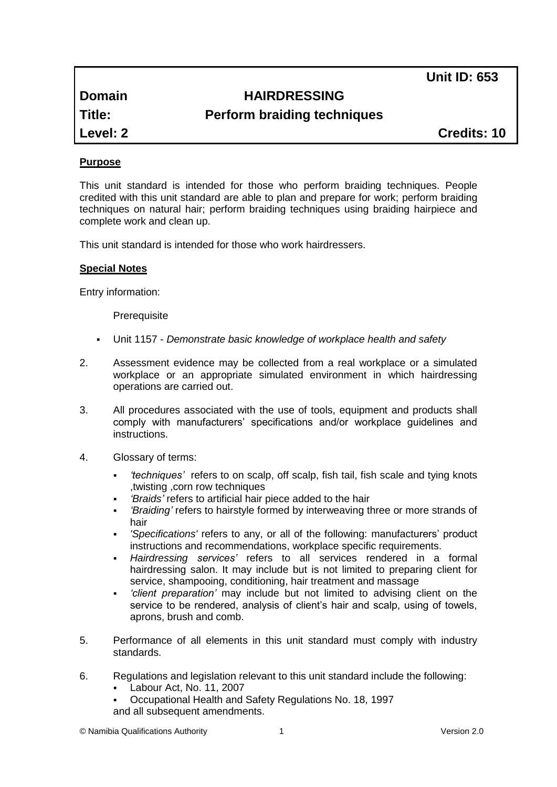**Unit ID: 653**

# **Domain HAIRDRESSING**

**Title: Perform braiding techniques** 

**Level: 2 Credits: 10**

# **Purpose**

This unit standard is intended for those who perform braiding techniques. People credited with this unit standard are able to plan and prepare for work; perform braiding techniques on natural hair; perform braiding techniques using braiding hairpiece and complete work and clean up.

This unit standard is intended for those who work hairdressers.

# **Special Notes**

Entry information:

**Prerequisite** 

- Unit 1157 *Demonstrate basic knowledge of workplace health and safety*
- 2. Assessment evidence may be collected from a real workplace or a simulated workplace or an appropriate simulated environment in which hairdressing operations are carried out.
- 3. All procedures associated with the use of tools, equipment and products shall comply with manufacturers' specifications and/or workplace guidelines and instructions.
- 4. Glossary of terms:
	- *'techniques'* refers to on scalp, off scalp, fish tail, fish scale and tying knots ,twisting ,corn row techniques
	- *'Braids'* refers to artificial hair piece added to the hair
	- *'Braiding'* refers to hairstyle formed by interweaving three or more strands of hair
	- *'Specifications'* refers to any, or all of the following: manufacturers' product instructions and recommendations, workplace specific requirements.
	- *Hairdressing services'* refers to all services rendered in a formal hairdressing salon. It may include but is not limited to preparing client for service, shampooing, conditioning, hair treatment and massage
	- *'client preparation'* may include but not limited to advising client on the service to be rendered, analysis of client's hair and scalp, using of towels, aprons, brush and comb.
- 5. Performance of all elements in this unit standard must comply with industry standards.
- 6. Regulations and legislation relevant to this unit standard include the following:
	- Labour Act, No. 11, 2007
	- Occupational Health and Safety Regulations No. 18, 1997 and all subsequent amendments.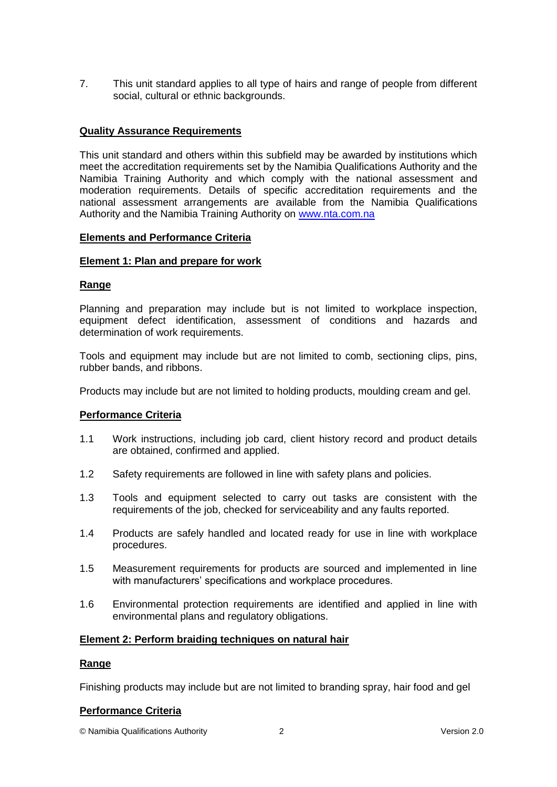7. This unit standard applies to all type of hairs and range of people from different social, cultural or ethnic backgrounds.

## **Quality Assurance Requirements**

This unit standard and others within this subfield may be awarded by institutions which meet the accreditation requirements set by the Namibia Qualifications Authority and the Namibia Training Authority and which comply with the national assessment and moderation requirements. Details of specific accreditation requirements and the national assessment arrangements are available from the Namibia Qualifications Authority and the Namibia Training Authority on [www.nta.com.na](http://www.nta.com.na/)

#### **Elements and Performance Criteria**

## **Element 1: Plan and prepare for work**

## **Range**

Planning and preparation may include but is not limited to workplace inspection, equipment defect identification, assessment of conditions and hazards and determination of work requirements.

Tools and equipment may include but are not limited to comb, sectioning clips, pins, rubber bands, and ribbons.

Products may include but are not limited to holding products, moulding cream and gel.

#### **Performance Criteria**

- 1.1 Work instructions, including job card, client history record and product details are obtained, confirmed and applied.
- 1.2 Safety requirements are followed in line with safety plans and policies.
- 1.3 Tools and equipment selected to carry out tasks are consistent with the requirements of the job, checked for serviceability and any faults reported.
- 1.4 Products are safely handled and located ready for use in line with workplace procedures.
- 1.5 Measurement requirements for products are sourced and implemented in line with manufacturers' specifications and workplace procedures.
- 1.6 Environmental protection requirements are identified and applied in line with environmental plans and regulatory obligations.

#### **Element 2: Perform braiding techniques on natural hair**

#### **Range**

Finishing products may include but are not limited to branding spray, hair food and gel

#### **Performance Criteria**

© Namibia Qualifications Authority 2 Version 2.0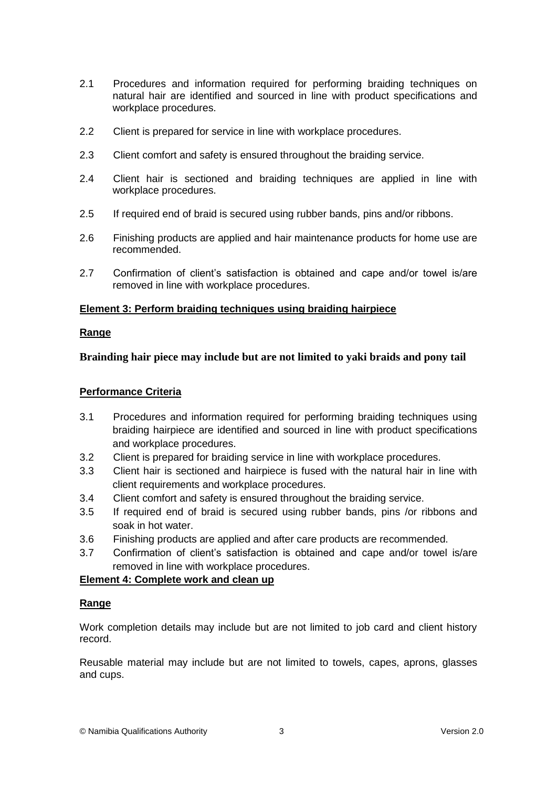- 2.1 Procedures and information required for performing braiding techniques on natural hair are identified and sourced in line with product specifications and workplace procedures.
- 2.2 Client is prepared for service in line with workplace procedures.
- 2.3 Client comfort and safety is ensured throughout the braiding service.
- 2.4 Client hair is sectioned and braiding techniques are applied in line with workplace procedures.
- 2.5 If required end of braid is secured using rubber bands, pins and/or ribbons.
- 2.6 Finishing products are applied and hair maintenance products for home use are recommended.
- 2.7 Confirmation of client's satisfaction is obtained and cape and/or towel is/are removed in line with workplace procedures.

# **Element 3: Perform braiding techniques using braiding hairpiece**

# **Range**

**Brainding hair piece may include but are not limited to yaki braids and pony tail**

# **Performance Criteria**

- 3.1 Procedures and information required for performing braiding techniques using braiding hairpiece are identified and sourced in line with product specifications and workplace procedures.
- 3.2 Client is prepared for braiding service in line with workplace procedures.
- 3.3 Client hair is sectioned and hairpiece is fused with the natural hair in line with client requirements and workplace procedures.
- 3.4 Client comfort and safety is ensured throughout the braiding service.
- 3.5 If required end of braid is secured using rubber bands, pins /or ribbons and soak in hot water.
- 3.6 Finishing products are applied and after care products are recommended.
- 3.7 Confirmation of client's satisfaction is obtained and cape and/or towel is/are removed in line with workplace procedures.

# **Element 4: Complete work and clean up**

# **Range**

Work completion details may include but are not limited to job card and client history record.

Reusable material may include but are not limited to towels, capes, aprons, glasses and cups.